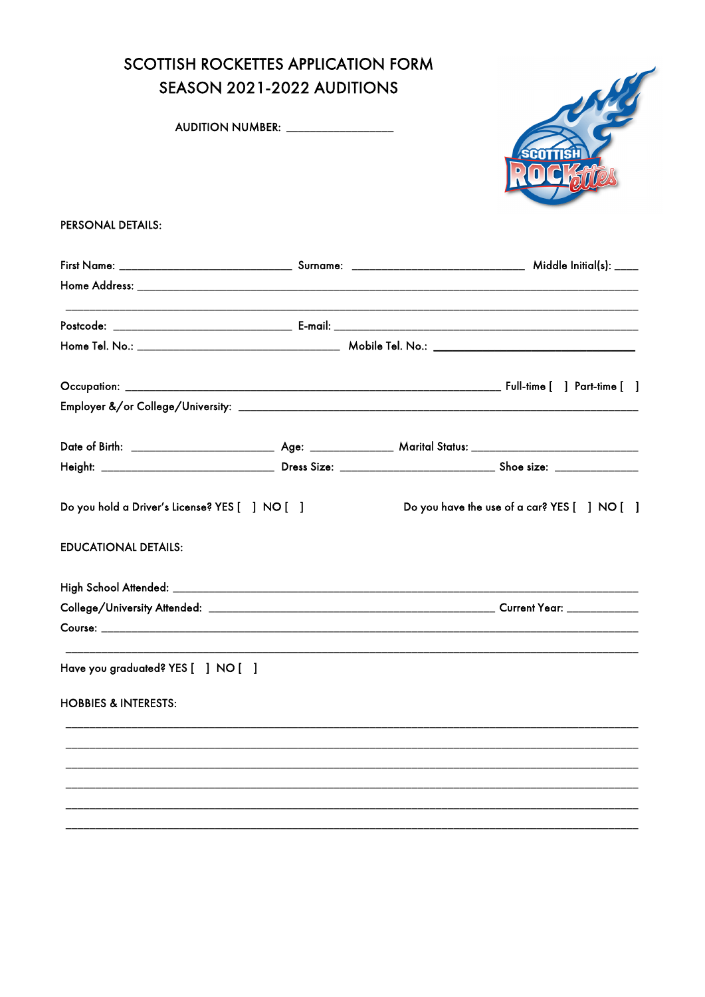| <b>SCOTTISH ROCKETTES APPLICATION FORM</b>     |                                  |                                              |
|------------------------------------------------|----------------------------------|----------------------------------------------|
| <b>SEASON 2021-2022 AUDITIONS</b>              |                                  |                                              |
|                                                |                                  |                                              |
|                                                | AUDITION NUMBER: _______________ | SCOTT                                        |
| <b>PERSONAL DETAILS:</b>                       |                                  |                                              |
|                                                |                                  |                                              |
|                                                |                                  |                                              |
|                                                |                                  |                                              |
|                                                |                                  |                                              |
|                                                |                                  |                                              |
|                                                |                                  |                                              |
|                                                |                                  |                                              |
|                                                |                                  |                                              |
| Do you hold a Driver's License? YES [ ] NO [ ] |                                  | Do you have the use of a car? YES [ ] NO [ ] |
| <b>EDUCATIONAL DETAILS:</b>                    |                                  |                                              |
|                                                |                                  |                                              |
|                                                |                                  |                                              |
|                                                |                                  |                                              |
| Have you graduated? YES [ ] NO [ ]             |                                  |                                              |
| <b>HOBBIES &amp; INTERESTS:</b>                |                                  |                                              |
|                                                |                                  |                                              |
|                                                |                                  |                                              |
|                                                |                                  |                                              |
|                                                |                                  |                                              |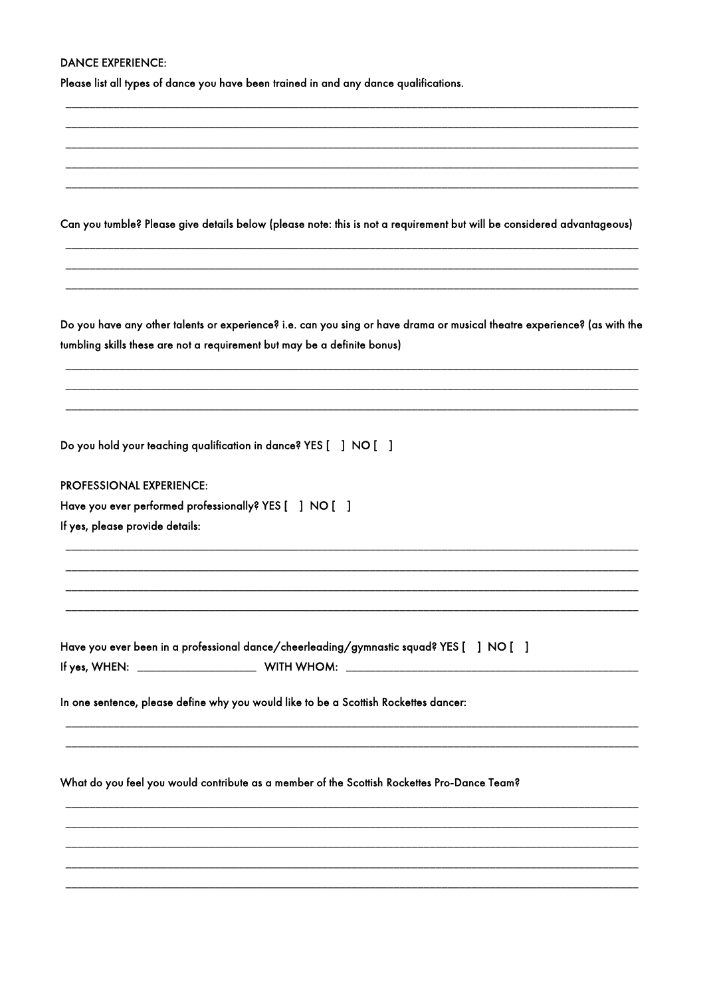| Can you tumble? Please give details below (please note: this is not a requirement but will be considered advantageous)<br>Do you have any other talents or experience? i.e. can you sing or have drama or musical theatre experience? (as with the<br>tumbling skills these are not a requirement but may be a definite bonus)                                                                                                                                          | Please list all types of dance you have been trained in and any dance qualifications. |  |
|-------------------------------------------------------------------------------------------------------------------------------------------------------------------------------------------------------------------------------------------------------------------------------------------------------------------------------------------------------------------------------------------------------------------------------------------------------------------------|---------------------------------------------------------------------------------------|--|
|                                                                                                                                                                                                                                                                                                                                                                                                                                                                         |                                                                                       |  |
|                                                                                                                                                                                                                                                                                                                                                                                                                                                                         |                                                                                       |  |
|                                                                                                                                                                                                                                                                                                                                                                                                                                                                         |                                                                                       |  |
|                                                                                                                                                                                                                                                                                                                                                                                                                                                                         |                                                                                       |  |
|                                                                                                                                                                                                                                                                                                                                                                                                                                                                         |                                                                                       |  |
|                                                                                                                                                                                                                                                                                                                                                                                                                                                                         |                                                                                       |  |
|                                                                                                                                                                                                                                                                                                                                                                                                                                                                         |                                                                                       |  |
|                                                                                                                                                                                                                                                                                                                                                                                                                                                                         |                                                                                       |  |
| Do you hold your teaching qualification in dance? YES [] NO []<br>PROFESSIONAL EXPERIENCE:<br>Have you ever performed professionally? YES [ ] NO [ ]<br>If yes, please provide details:<br>Have you ever been in a professional dance/cheerleading/gymnastic squad? YES [] NO []<br>In one sentence, please define why you would like to be a Scottish Rockettes dancer:<br>What do you feel you would contribute as a member of the Scottish Rockettes Pro-Dance Team? |                                                                                       |  |
|                                                                                                                                                                                                                                                                                                                                                                                                                                                                         |                                                                                       |  |
|                                                                                                                                                                                                                                                                                                                                                                                                                                                                         |                                                                                       |  |
|                                                                                                                                                                                                                                                                                                                                                                                                                                                                         |                                                                                       |  |
|                                                                                                                                                                                                                                                                                                                                                                                                                                                                         |                                                                                       |  |
|                                                                                                                                                                                                                                                                                                                                                                                                                                                                         |                                                                                       |  |
|                                                                                                                                                                                                                                                                                                                                                                                                                                                                         |                                                                                       |  |
|                                                                                                                                                                                                                                                                                                                                                                                                                                                                         |                                                                                       |  |
|                                                                                                                                                                                                                                                                                                                                                                                                                                                                         |                                                                                       |  |
|                                                                                                                                                                                                                                                                                                                                                                                                                                                                         |                                                                                       |  |
|                                                                                                                                                                                                                                                                                                                                                                                                                                                                         |                                                                                       |  |
|                                                                                                                                                                                                                                                                                                                                                                                                                                                                         |                                                                                       |  |
|                                                                                                                                                                                                                                                                                                                                                                                                                                                                         |                                                                                       |  |
|                                                                                                                                                                                                                                                                                                                                                                                                                                                                         |                                                                                       |  |
|                                                                                                                                                                                                                                                                                                                                                                                                                                                                         |                                                                                       |  |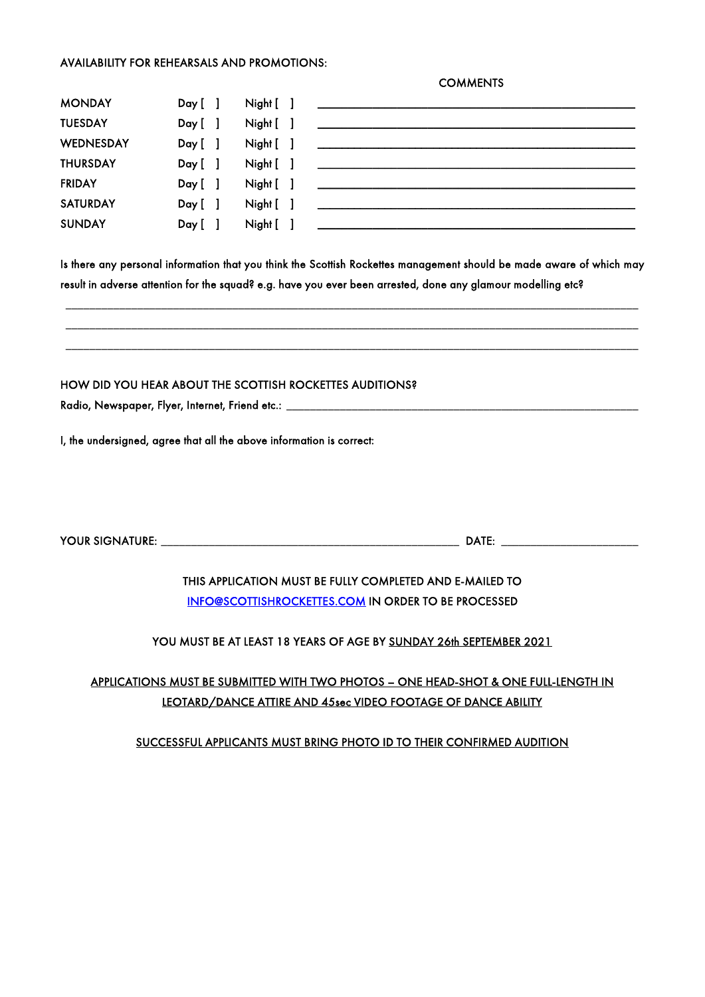#### AVAILABILITY FOR REHEARSALS AND PROMOTIONS:

| <b>MONDAY</b>   | $Day$ $\vert$         | $Night[$ ] |
|-----------------|-----------------------|------------|
| <b>TUESDAY</b>  | $Day$ $\vert$ $\vert$ | Night [ ]  |
| WEDNESDAY       | Day [ ]               | $Night[$ ] |
| <b>THURSDAY</b> | Day [ ]               | Night [ ]  |
| <b>FRIDAY</b>   | $Day$ $\vert$ $\vert$ | Night[     |
| <b>SATURDAY</b> | Day [ ]               | $Night[$ ] |
| <b>SUNDAY</b>   | Day <sub>1</sub>      | Night [    |

**COMMENTS** 

Is there any personal information that you think the Scottish Rockettes management should be made aware of which may result in adverse attention for the squad? e.g. have you ever been arrested, done any glamour modelling etc?

\_\_\_\_\_\_\_\_\_\_\_\_\_\_\_\_\_\_\_\_\_\_\_\_\_\_\_\_\_\_\_\_\_\_\_\_\_\_\_\_\_\_\_\_\_\_\_\_\_\_\_\_\_\_\_\_\_\_\_\_\_\_\_\_\_\_\_\_\_\_\_\_\_\_\_\_\_\_\_\_\_\_\_\_\_\_\_\_\_\_\_\_\_\_\_\_ \_\_\_\_\_\_\_\_\_\_\_\_\_\_\_\_\_\_\_\_\_\_\_\_\_\_\_\_\_\_\_\_\_\_\_\_\_\_\_\_\_\_\_\_\_\_\_\_\_\_\_\_\_\_\_\_\_\_\_\_\_\_\_\_\_\_\_\_\_\_\_\_\_\_\_\_\_\_\_\_\_\_\_\_\_\_\_\_\_\_\_\_\_\_\_\_ \_\_\_\_\_\_\_\_\_\_\_\_\_\_\_\_\_\_\_\_\_\_\_\_\_\_\_\_\_\_\_\_\_\_\_\_\_\_\_\_\_\_\_\_\_\_\_\_\_\_\_\_\_\_\_\_\_\_\_\_\_\_\_\_\_\_\_\_\_\_\_\_\_\_\_\_\_\_\_\_\_\_\_\_\_\_\_\_\_\_\_\_\_\_\_\_

#### HOW DID YOU HEAR ABOUT THE SCOTTISH ROCKETTES AUDITIONS?

Radio, Newspaper, Flyer, Internet, Friend etc.: \_\_\_\_\_\_\_\_\_\_\_\_\_\_\_\_\_\_\_\_\_\_\_\_\_\_\_\_\_\_\_\_

I, the undersigned, agree that all the above information is correct:

| YOUR SIGNATURE: | <b>DATE</b><br>. .<br><i>.</i> |  |
|-----------------|--------------------------------|--|

# THIS APPLICATION MUST BE FULLY COMPLETED AND E-MAILED TO [INFO@SCOTTISHROCKETTES.COM](mailto:INFO@SCOTTISHROCKETTES.COM) IN ORDER TO BE PROCESSED

### YOU MUST BE AT LEAST 18 YEARS OF AGE BY SUNDAY 26th SEPTEMBER 2021

## APPLICATIONS MUST BE SUBMITTED WITH TWO PHOTOS – ONE HEAD-SHOT & ONE FULL-LENGTH IN LEOTARD/DANCE ATTIRE AND 45sec VIDEO FOOTAGE OF DANCE ABILITY

### SUCCESSFUL APPLICANTS MUST BRING PHOTO ID TO THEIR CONFIRMED AUDITION